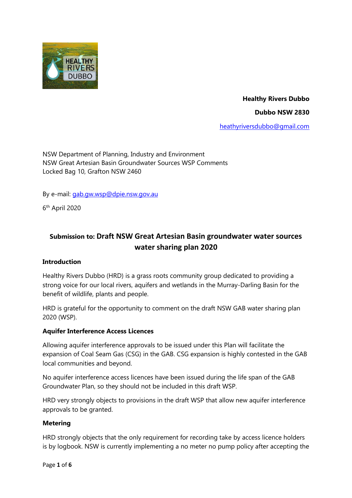

**Healthy Rivers Dubbo Dubbo NSW 2830**

[heathyriversdubbo@gmail.com](mailto:heathyriversdubbo@gmail.com)

NSW Department of Planning, Industry and Environment NSW Great Artesian Basin Groundwater Sources WSP Comments Locked Bag 10, Grafton NSW 2460

By e-mail: [gab.gw.wsp@dpie.nsw.gov.au](mailto:gab.gw.wsp@dpie.nsw.gov.au)

6 th April 2020

# **Submission to: Draft NSW Great Artesian Basin groundwater water sources water sharing plan 2020**

#### **Introduction**

Healthy Rivers Dubbo (HRD) is a grass roots community group dedicated to providing a strong voice for our local rivers, aquifers and wetlands in the Murray-Darling Basin for the benefit of wildlife, plants and people.

HRD is grateful for the opportunity to comment on the draft NSW GAB water sharing plan 2020 (WSP).

#### **Aquifer Interference Access Licences**

Allowing aquifer interference approvals to be issued under this Plan will facilitate the expansion of Coal Seam Gas (CSG) in the GAB. CSG expansion is highly contested in the GAB local communities and beyond.

No aquifer interference access licences have been issued during the life span of the GAB Groundwater Plan, so they should not be included in this draft WSP.

HRD very strongly objects to provisions in the draft WSP that allow new aquifer interference approvals to be granted.

#### **Metering**

HRD strongly objects that the only requirement for recording take by access licence holders is by logbook. NSW is currently implementing a no meter no pump policy after accepting the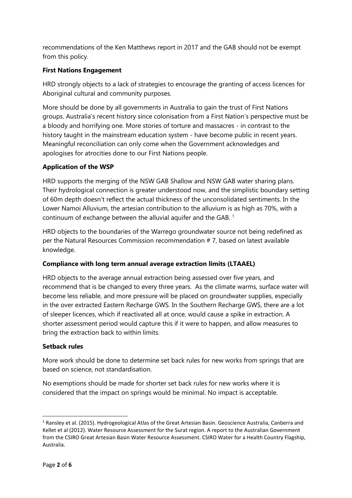recommendations of the Ken Matthews report in 2017 and the GAB should not be exempt from this policy.

# **First Nations Engagement**

HRD strongly objects to a lack of strategies to encourage the granting of access licences for Aboriginal cultural and community purposes.

More should be done by all governments in Australia to gain the trust of First Nations groups. Australia's recent history since colonisation from a First Nation's perspective must be a bloody and horrifying one. More stories of torture and massacres - in contrast to the history taught in the mainstream education system - have become public in recent years. Meaningful reconciliation can only come when the Government acknowledges and apologises for atrocities done to our First Nations people.

#### **Application of the WSP**

HRD supports the merging of the NSW GAB Shallow and NSW GAB water sharing plans. Their hydrological connection is greater understood now, and the simplistic boundary setting of 60m depth doesn't reflect the actual thickness of the unconsolidated sentiments. In the Lower Namoi Alluvium, the artesian contribution to the alluvium is as high as 70%, with a continuum of exchange between the alluvial aquifer and the GAB. <sup>1</sup>

HRD objects to the boundaries of the Warrego groundwater source not being redefined as per the Natural Resources Commission recommendation # 7, based on latest available knowledge.

#### **Compliance with long term annual average extraction limits (LTAAEL)**

HRD objects to the average annual extraction being assessed over five years, and recommend that is be changed to every three years. As the climate warms, surface water will become less reliable, and more pressure will be placed on groundwater supplies, especially in the over extracted Eastern Recharge GWS. In the Southern Recharge GWS, there are a lot of sleeper licences, which if reactivated all at once, would cause a spike in extraction. A shorter assessment period would capture this if it were to happen, and allow measures to bring the extraction back to within limits.

#### **Setback rules**

More work should be done to determine set back rules for new works from springs that are based on science, not standardisation.

No exemptions should be made for shorter set back rules for new works where it is considered that the impact on springs would be minimal. No impact is acceptable.

 $\overline{a}$ 

 $1$  Ransley et al. (2015). Hydrogeological Atlas of the Great Artesian Basin. Geoscience Australia, Canberra and Kellet et al (2012). Water Resource Assessment for the Surat region. A report to the Australian Government from the CSIRO Great Artesian Basin Water Resource Assessment. CSIRO Water for a Health Country Flagship, Australia.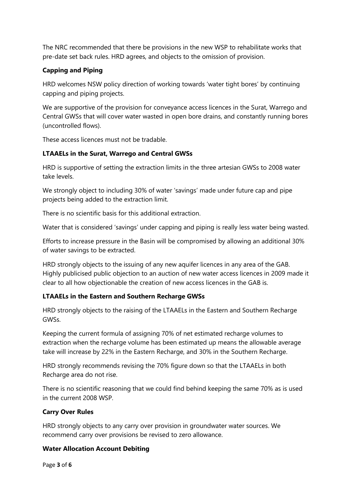The NRC recommended that there be provisions in the new WSP to rehabilitate works that pre-date set back rules. HRD agrees, and objects to the omission of provision.

# **Capping and Piping**

HRD welcomes NSW policy direction of working towards 'water tight bores' by continuing capping and piping projects.

We are supportive of the provision for conveyance access licences in the Surat, Warrego and Central GWSs that will cover water wasted in open bore drains, and constantly running bores (uncontrolled flows).

These access licences must not be tradable.

#### **LTAAELs in the Surat, Warrego and Central GWSs**

HRD is supportive of setting the extraction limits in the three artesian GWSs to 2008 water take levels.

We strongly object to including 30% of water 'savings' made under future cap and pipe projects being added to the extraction limit.

There is no scientific basis for this additional extraction.

Water that is considered 'savings' under capping and piping is really less water being wasted.

Efforts to increase pressure in the Basin will be compromised by allowing an additional 30% of water savings to be extracted.

HRD strongly objects to the issuing of any new aquifer licences in any area of the GAB. Highly publicised public objection to an auction of new water access licences in 2009 made it clear to all how objectionable the creation of new access licences in the GAB is.

# **LTAAELs in the Eastern and Southern Recharge GWSs**

HRD strongly objects to the raising of the LTAAELs in the Eastern and Southern Recharge GWSs.

Keeping the current formula of assigning 70% of net estimated recharge volumes to extraction when the recharge volume has been estimated up means the allowable average take will increase by 22% in the Eastern Recharge, and 30% in the Southern Recharge.

HRD strongly recommends revising the 70% figure down so that the LTAAELs in both Recharge area do not rise.

There is no scientific reasoning that we could find behind keeping the same 70% as is used in the current 2008 WSP.

# **Carry Over Rules**

HRD strongly objects to any carry over provision in groundwater water sources. We recommend carry over provisions be revised to zero allowance.

#### **Water Allocation Account Debiting**

Page **3** of **6**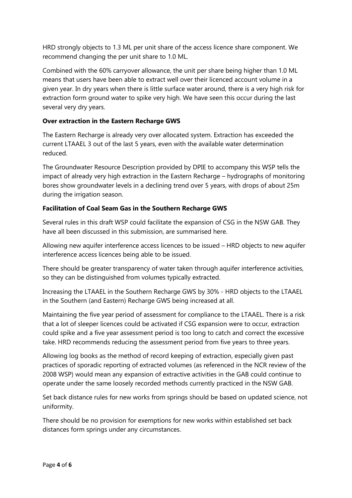HRD strongly objects to 1.3 ML per unit share of the access licence share component. We recommend changing the per unit share to 1.0 ML.

Combined with the 60% carryover allowance, the unit per share being higher than 1.0 ML means that users have been able to extract well over their licenced account volume in a given year. In dry years when there is little surface water around, there is a very high risk for extraction form ground water to spike very high. We have seen this occur during the last several very dry years.

### **Over extraction in the Eastern Recharge GWS**

The Eastern Recharge is already very over allocated system. Extraction has exceeded the current LTAAEL 3 out of the last 5 years, even with the available water determination reduced.

The Groundwater Resource Description provided by DPIE to accompany this WSP tells the impact of already very high extraction in the Eastern Recharge – hydrographs of monitoring bores show groundwater levels in a declining trend over 5 years, with drops of about 25m during the irrigation season.

#### **Facilitation of Coal Seam Gas in the Southern Recharge GWS**

Several rules in this draft WSP could facilitate the expansion of CSG in the NSW GAB. They have all been discussed in this submission, are summarised here.

Allowing new aquifer interference access licences to be issued – HRD objects to new aquifer interference access licences being able to be issued.

There should be greater transparency of water taken through aquifer interference activities, so they can be distinguished from volumes typically extracted.

Increasing the LTAAEL in the Southern Recharge GWS by 30% - HRD objects to the LTAAEL in the Southern (and Eastern) Recharge GWS being increased at all.

Maintaining the five year period of assessment for compliance to the LTAAEL. There is a risk that a lot of sleeper licences could be activated if CSG expansion were to occur, extraction could spike and a five year assessment period is too long to catch and correct the excessive take. HRD recommends reducing the assessment period from five years to three years.

Allowing log books as the method of record keeping of extraction, especially given past practices of sporadic reporting of extracted volumes (as referenced in the NCR review of the 2008 WSP) would mean any expansion of extractive activities in the GAB could continue to operate under the same loosely recorded methods currently practiced in the NSW GAB.

Set back distance rules for new works from springs should be based on updated science, not uniformity.

There should be no provision for exemptions for new works within established set back distances form springs under any circumstances.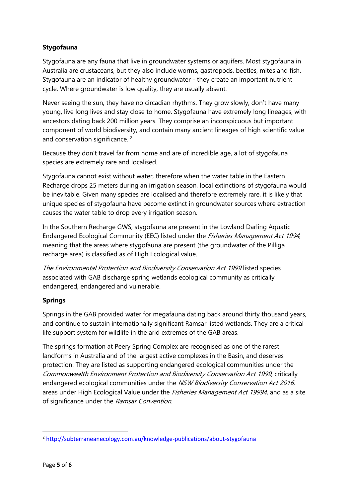# **Stygofauna**

Stygofauna are any fauna that live in groundwater systems or aquifers. Most stygofauna in Australia are crustaceans, but they also include worms, gastropods, beetles, mites and fish. Stygofauna are an indicator of healthy groundwater - they create an important nutrient cycle. Where groundwater is low quality, they are usually absent.

Never seeing the sun, they have no circadian rhythms. They grow slowly, don't have many young, live long lives and stay close to home. Stygofauna have extremely long lineages, with ancestors dating back 200 million years. They comprise an inconspicuous but important component of world biodiversity, and contain many ancient lineages of high scientific value and conservation significance.<sup>2</sup>

Because they don't travel far from home and are of incredible age, a lot of stygofauna species are extremely rare and localised.

Stygofauna cannot exist without water, therefore when the water table in the Eastern Recharge drops 25 meters during an irrigation season, local extinctions of stygofauna would be inevitable. Given many species are localised and therefore extremely rare, it is likely that unique species of stygofauna have become extinct in groundwater sources where extraction causes the water table to drop every irrigation season.

In the Southern Recharge GWS, stygofauna are present in the Lowland Darling Aquatic Endangered Ecological Community (EEC) listed under the Fisheries Management Act 1994, meaning that the areas where stygofauna are present (the groundwater of the Pilliga recharge area) is classified as of High Ecological value.

The Environmental Protection and Biodiversity Conservation Act 1999 listed species associated with GAB discharge spring wetlands ecological community as critically endangered, endangered and vulnerable.

# **Springs**

Springs in the GAB provided water for megafauna dating back around thirty thousand years, and continue to sustain internationally significant Ramsar listed wetlands. They are a critical life support system for wildlife in the arid extremes of the GAB areas.

The springs formation at Peery Spring Complex are recognised as one of the rarest landforms in Australia and of the largest active complexes in the Basin, and deserves protection. They are listed as supporting endangered ecological communities under the Commonwealth Environment Protection and Biodiversity Conservation Act 1999, critically endangered ecological communities under the NSW Biodiversity Conservation Act 2016, areas under High Ecological Value under the *Fisheries Management Act 19994*, and as a site of significance under the Ramsar Convention.

 $\overline{a}$ 

<sup>2</sup> <http://subterraneanecology.com.au/knowledge-publications/about-stygofauna>